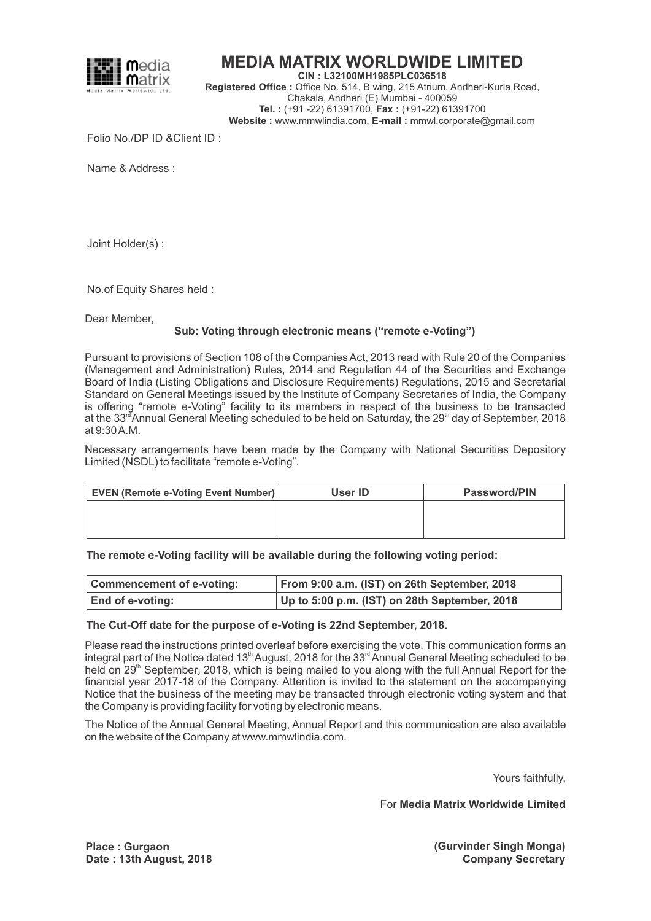

# **MEDIA MATRIX WORLDWIDE LIMITED**

**CIN : L32100MH1985PLC036518 Registered Office :** Office No. 514, B wing, 215 Atrium, Andheri-Kurla Road, Chakala, Andheri (E) Mumbai - 400059 **Tel. :** (+91 -22) 61391700, **Fax :** (+91-22) 61391700 **Website :** www.mmwlindia.com, **E-mail :** mmwl.corporate@gmail.com

Folio No./DP ID &Client ID :

Name & Address :

Joint Holder(s) :

No.of Equity Shares held :

Dear Member,

## **Sub: Voting through electronic means ("remote e-Voting")**

Pursuant to provisions of Section 108 of the Companies Act, 2013 read with Rule 20 of the Companies (Management and Administration) Rules, 2014 and Regulation 44 of the Securities and Exchange Board of India (Listing Obligations and Disclosure Requirements) Regulations, 2015 and Secretarial Standard on General Meetings issued by the Institute of Company Secretaries of India, the Company is offering "remote e-Voting" facility to its members in respect of the business to be transacted at the 33<sup>rd</sup> Annual General Meeting scheduled to be held on Saturday, the 29<sup>th</sup> day of September, 2018 at 9:30 A.M.

Necessary arrangements have been made by the Company with National Securities Depository Limited (NSDL) to facilitate "remote e-Voting".

| <b>EVEN (Remote e-Voting Event Number)</b> | User ID | <b>Password/PIN</b> |
|--------------------------------------------|---------|---------------------|
|                                            |         |                     |
|                                            |         |                     |
|                                            |         |                     |

**The remote e-Voting facility will be available during the following voting period:**

| <b>Commencement of e-voting:</b> | From 9:00 a.m. (IST) on 26th September, 2018  |
|----------------------------------|-----------------------------------------------|
| <b>End of e-voting:</b>          | Up to 5:00 p.m. (IST) on 28th September, 2018 |

### **The Cut-Off date for the purpose of e-Voting is 22nd September, 2018.**

Please read the instructions printed overleaf before exercising the vote. This communication forms an integral part of the Notice dated 13<sup>th</sup> August, 2018 for the 33<sup>rd</sup> Annual General Meeting scheduled to be held on  $29<sup>th</sup>$  September, 2018, which is being mailed to you along with the full Annual Report for the financial year 2017-18 of the Company. Attention is invited to the statement on the accompanying Notice that the business of the meeting may be transacted through electronic voting system and that the Company is providing facility for voting by electronic means.

The Notice of the Annual General Meeting, Annual Report and this communication are also available on the website of the Company at www.mmwlindia.com.

Yours faithfully,

For **Media Matrix Worldwide Limited**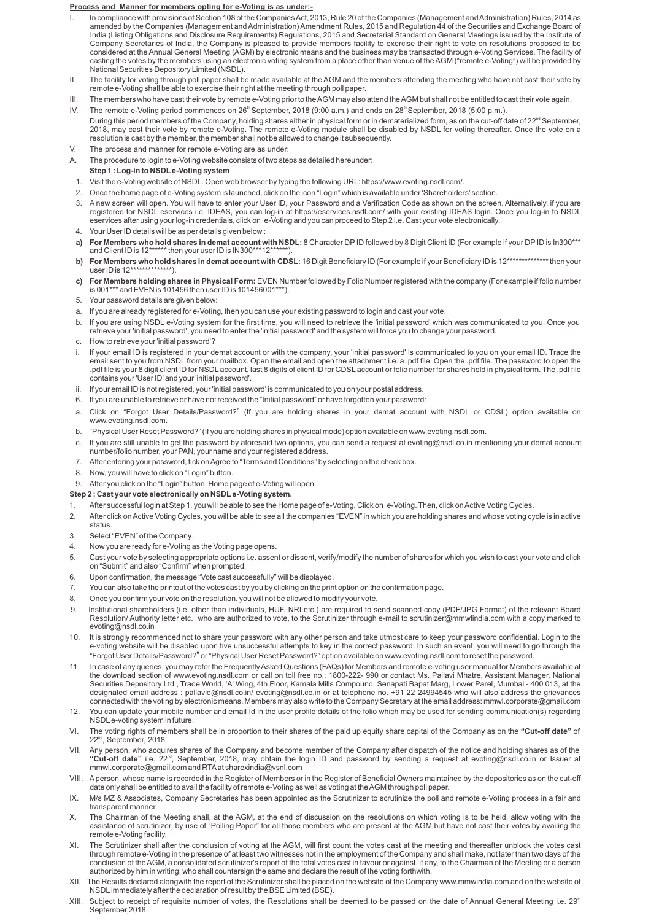#### **Process and Manner for members opting for e-Voting is as under:-**

- In compliance with provisions of Section 108 of the Companies Act, 2013, Rule 20 of the Companies (Management and Administration) Rules, 2014 as amended by the Companies (Management and Administration) Amendment Rules, 2015 and Regulation 44 of the Securities and Exchange Board of<br>India (Listing Obligations and Disclosure Requirements) Regulations, 2015 and Secreta considered at the Annual General Meeting (AGM) by electronic means and the business may be transacted through e-Voting Services. The facility of casting the votes by the members using an electronic voting system from a place other than venue of the AGM ("remote e-Voting") will be provided by National Securities Depository Limited (NSDL).
- II. The facility for voting through poll paper shall be made available at the AGM and the members attending the meeting who have not cast their vote by remote e-Voting shall be able to exercise their right at the meeting through poll paper.
- III. The members who have cast their vote by remote e-Voting prior to the AGM may also attend the AGM but shall not be entitled to cast their vote again.
- IV. The remote e-Voting period commences on 26<sup>th</sup> September, 2018 (9:00 a.m.) and ends on 28<sup>th</sup> September, 2018 (5:00 p.m.). During this period members of the Company, holding shares either in physical form or in dematerialized form, as on the cut-off date of 22<sup>nd</sup> September,<br>2018, may cast their vote by remote e-Voting. The remote e-Voting mo resolution is cast by the member, the member shall not be allowed to change it subsequently.
- V. The process and manner for remote e-Voting are as under:
- A. The procedure to login to e-Voting website consists of two steps as detailed hereunder:
	- **Step 1 : Log-in to NSDLe-Voting system**
- 1. Visit the e-Voting website of NSDL. Open web browser by typing the following URL: https://www.evoting.nsdl.com/.
- 2. Once the home page of e-Voting system is launched, click on the icon "Login" which is available under 'Shareholders' section.
- 3. A new screen will open. You will have to enter your User ID, your Password and a Verification Code as shown on the screen. Alternatively, if you are registered for NSDL eservices i.e. IDEAS, you can log-in at https://eservices.nsdl.com/ with your existing IDEAS login. Once you log-in to NSDL<br>eservices after using your log-in credentials, click on e-Voting and you can
- 4. Your User ID details will be as per details given below :
- a) For Members who hold shares in demat account with NSDL: 8 Character DP ID followed by 8 Digit Client ID (For example if your DP ID is In300\*\*\*<br>and Client ID is 12\*\*\*\*\*\* then your user ID is IN300\*\*\*12\*\*\*\*\*).
- **b)** For Members who hold shares in demat account with CDSL: 16 Digit Beneficiary ID (For example if your Beneficiary ID is 12\*\*\*\*\*\*\*\*\*\*\*\*\*\*\* then your user ID is  $12***$
- **c) For Members holding shares in Physical Form:** EVEN Number followed by Folio Number registered with the company (For example if folio number is 001\*\*\* and EVEN is 101456 then user ID is 101456001\*\*\*).
- 5. Your password details are given below:
- a. If you are already registered for e-Voting, then you can use your existing password to login and cast your vote.
- b. If you are using NSDL e-Voting system for the first time, you will need to retrieve the 'initial password' which was communicated to you. Once you retrieve your 'initial password', you need to enter the 'initial password' and the system will force you to change your password.
- c. How to retrieve your 'initial password'?
- i. If your email ID is registered in your demat account or with the company, your 'initial password' is communicated to you on your email ID. Trace the email sent to you from NSDL from your mailbox. Open the email and open the attachment i.e. a .pdf file. Open the .pdf file. The password to open the .pdf file is your 8 digit client ID for NSDL account, last 8 digits of client ID for CDSL account or folio number for shares held in physical form. The .pdf file contains your 'User ID' and your 'initial password'.
- ii. If your email ID is not registered, your 'initial password' is communicated to you on your postal address.
- 6. If you are unable to retrieve or have not received the "Initial password" or have forgotten your password:
- a. Click on "Forgot User Details/Password?" (If you are holding shares in your demat account with NSDL or CDSL) option available on www.evoting.nsdl.com.
- b. "Physical User Reset Password?" (If you are holding shares in physical mode) option available on www.evoting.nsdl.com.
- c. If you are still unable to get the password by aforesaid two options, you can send a request at evoting@nsdl.co.in mentioning your demat account number/folio number, your PAN, your name and your registered address.
- 7. After entering your password, tick on Agree to "Terms and Conditions" by selecting on the check box.
- 8. Now, you will have to click on "Login" button.
- 9. After you click on the "Login" button, Home page of e-Voting will open.
- **Step 2 : Cast your vote electronically on NSDLe-Voting system.**
- 1. After successful login at Step 1, you will be able to see the Home page of e-Voting. Click on e-Voting. Then, click on Active Voting Cycles.
- 2. After click on Active Voting Cycles, you will be able to see all the companies "EVEN" in which you are holding shares and whose voting cycle is in active status.
- 3. Select "EVEN" of the Company.
- 4. Now you are ready for e-Voting as the Voting page opens.
- 5. Cast your vote by selecting appropriate options i.e. assent or dissent, verify/modify the number of shares for which you wish to cast your vote and click on "Submit" and also "Confirm" when prompted.
- 6. Upon confirmation, the message "Vote cast successfully" will be displayed.
- 7. You can also take the printout of the votes cast by you by clicking on the print option on the confirmation page.
- 8. Once you confirm your vote on the resolution, you will not be allowed to modify your vote.
- 9. Institutional shareholders (i.e. other than individuals, HUF, NRI etc.) are required to send scanned copy (PDF/JPG Format) of the relevant Board Resolution/ Authority letter etc. who are authorized to vote, to the Scrutinizer through e-mail to scrutinizer@mmwlindia.com with a copy marked to evoting@nsdl.co.in
- 10. It is strongly recommended not to share your password with any other person and take utmost care to keep your password confidential. Login to the e-voting website will be disabled upon five unsuccessful attempts to key in the correct password. In such an event, you will need to go through the "Forgot User Details/Password?" or "Physical User Reset Password?" option available on www.evoting.nsdl.com to reset the password.
- 11 In case of any queries, you may refer the Frequently Asked Questions (FAQs) for Members and remote e-voting user manual for Members available at the download section of www.evoting.nsdl.com or call on toll free no.: 1800-222- 990 or contact Ms. Pallavi Mhatre, Assistant Manager, National Securities Depository Ltd., Trade World, 'A' Wing, 4th Floor, Kamala Mills Compound, Senapati Bapat Marg, Lower Parel, Mumbai - 400 013, at the designated email address : pallavid@nsdl.co.in/ evoting@nsdl.co.in or at telephone no. +91 22 24994545 who will also address the grievances connected with the voting by electronic means. Members may also write to the Company Secretary at the email address: mmwl.corporate@gmail.com
- 12. You can update your mobile number and email Id in the user profile details of the folio which may be used for sending communication(s) regarding NSDLe-voting system in future.
- VI. The voting rights of members shall be in proportion to their shares of the paid up equity share capital of the Company as on the **"Cut-off date"** of 22<sup>nd</sup>, September, 2018.
- VII. Any person, who acquires shares of the Company and become member of the Company after dispatch of the notice and holding shares as of the<br>**"Cut-off date**" i.e. 22<sup>nd</sup>, September, 2018, may obtain the login ID and pas mmwl.corporate@gmail.com and RTAat sharexindia@vsnl.com
- VIII. Aperson, whose name is recorded in the Register of Members or in the Register of Beneficial Owners maintained by the depositories as on the cut-off date only shall be entitled to avail the facility of remote e-Voting as well as voting at the AGM through poll paper.
- IX. M/s MZ & Associates, Company Secretaries has been appointed as the Scrutinizer to scrutinize the poll and remote e-Voting process in a fair and transparent manner.
- X. The Chairman of the Meeting shall, at the AGM, at the end of discussion on the resolutions on which voting is to be held, allow voting with the assistance of scrutinizer, by use of "Polling Paper" for all those members who are present at the AGM but have not cast their votes by availing the remote e-Voting facility.
- XI. The Scrutinizer shall after the conclusion of voting at the AGM, will first count the votes cast at the meeting and thereafter unblock the votes cast through remote e-Voting in the presence of at least two witnesses not in the employment of the Company and shall make, not later than two days of the conclusion of the AGM, a consolidated scrutinizer's report of the total votes cast in favour or against, if any, to the Chairman of the Meeting or a person authorized by him in writing, who shall countersign the same and declare the result of the voting forthwith.
- XII. The Results declared alongwith the report of the Scrutinizer shall be placed on the website of the Company www.mmwindia.com and on the website of<br>NSDL immediately after the declaration of result by the BSE Limited
- XIII. Subject to receipt of requisite number of votes, the Resolutions shall be deemed to be passed on the date of Annual General Meeting i.e. 29<sup>th</sup> September,2018.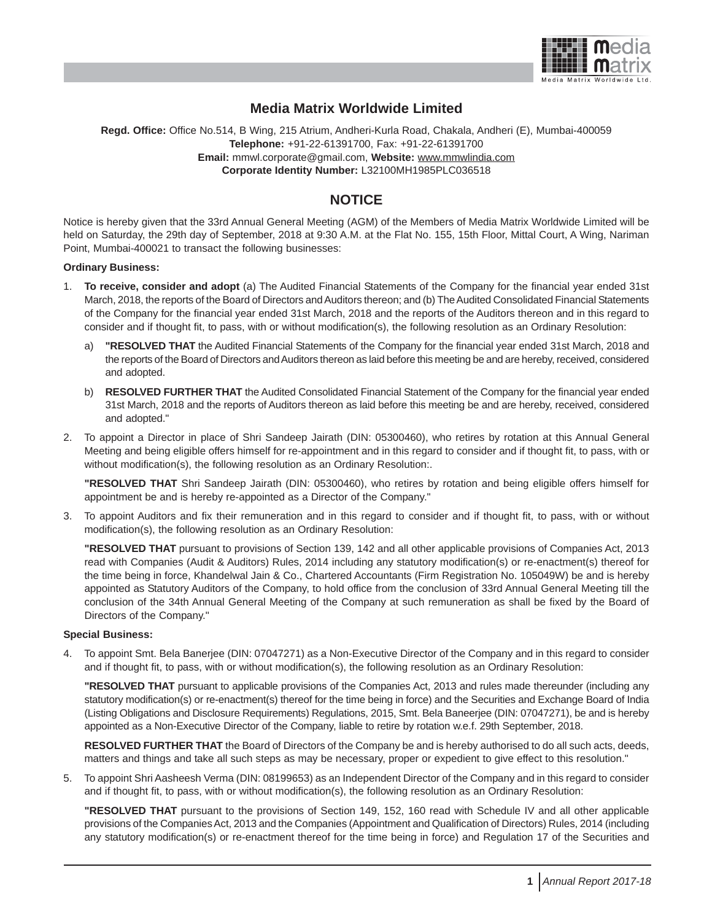

## **Media Matrix Worldwide Limited**

**Regd. Office:** Office No.514, B Wing, 215 Atrium, Andheri-Kurla Road, Chakala, Andheri (E), Mumbai-400059 **Telephone:** +91-22-61391700, Fax: +91-22-61391700 **Email:** mmwl.corporate@gmail.com, **Website:** www.mmwlindia.com **Corporate Identity Number:** L32100MH1985PLC036518

## **NOTICE**

Notice is hereby given that the 33rd Annual General Meeting (AGM) of the Members of Media Matrix Worldwide Limited will be held on Saturday, the 29th day of September, 2018 at 9:30 A.M. at the Flat No. 155, 15th Floor, Mittal Court, A Wing, Nariman Point, Mumbai-400021 to transact the following businesses:

#### **Ordinary Business:**

- 1. **To receive, consider and adopt** (a) The Audited Financial Statements of the Company for the financial year ended 31st March, 2018, the reports of the Board of Directors and Auditors thereon; and (b) The Audited Consolidated Financial Statements of the Company for the financial year ended 31st March, 2018 and the reports of the Auditors thereon and in this regard to consider and if thought fit, to pass, with or without modification(s), the following resolution as an Ordinary Resolution:
	- a) **"RESOLVED THAT** the Audited Financial Statements of the Company for the financial year ended 31st March, 2018 and the reports of the Board of Directors and Auditors thereon as laid before this meeting be and are hereby, received, considered and adopted.
	- b) **RESOLVED FURTHER THAT** the Audited Consolidated Financial Statement of the Company for the financial year ended 31st March, 2018 and the reports of Auditors thereon as laid before this meeting be and are hereby, received, considered and adopted."
- 2. To appoint a Director in place of Shri Sandeep Jairath (DIN: 05300460), who retires by rotation at this Annual General Meeting and being eligible offers himself for re-appointment and in this regard to consider and if thought fit, to pass, with or without modification(s), the following resolution as an Ordinary Resolution:.

**"RESOLVED THAT** Shri Sandeep Jairath (DIN: 05300460), who retires by rotation and being eligible offers himself for appointment be and is hereby re-appointed as a Director of the Company."

3. To appoint Auditors and fix their remuneration and in this regard to consider and if thought fit, to pass, with or without modification(s), the following resolution as an Ordinary Resolution:

**"RESOLVED THAT** pursuant to provisions of Section 139, 142 and all other applicable provisions of Companies Act, 2013 read with Companies (Audit & Auditors) Rules, 2014 including any statutory modification(s) or re-enactment(s) thereof for the time being in force, Khandelwal Jain & Co., Chartered Accountants (Firm Registration No. 105049W) be and is hereby appointed as Statutory Auditors of the Company, to hold office from the conclusion of 33rd Annual General Meeting till the conclusion of the 34th Annual General Meeting of the Company at such remuneration as shall be fixed by the Board of Directors of the Company."

#### **Special Business:**

4. To appoint Smt. Bela Banerjee (DIN: 07047271) as a Non-Executive Director of the Company and in this regard to consider and if thought fit, to pass, with or without modification(s), the following resolution as an Ordinary Resolution:

**"RESOLVED THAT** pursuant to applicable provisions of the Companies Act, 2013 and rules made thereunder (including any statutory modification(s) or re-enactment(s) thereof for the time being in force) and the Securities and Exchange Board of India (Listing Obligations and Disclosure Requirements) Regulations, 2015, Smt. Bela Baneerjee (DIN: 07047271), be and is hereby appointed as a Non-Executive Director of the Company, liable to retire by rotation w.e.f. 29th September, 2018.

**RESOLVED FURTHER THAT** the Board of Directors of the Company be and is hereby authorised to do all such acts, deeds, matters and things and take all such steps as may be necessary, proper or expedient to give effect to this resolution."

5. To appoint Shri Aasheesh Verma (DIN: 08199653) as an Independent Director of the Company and in this regard to consider and if thought fit, to pass, with or without modification(s), the following resolution as an Ordinary Resolution:

**"RESOLVED THAT** pursuant to the provisions of Section 149, 152, 160 read with Schedule IV and all other applicable provisions of the Companies Act, 2013 and the Companies (Appointment and Qualification of Directors) Rules, 2014 (including any statutory modification(s) or re-enactment thereof for the time being in force) and Regulation 17 of the Securities and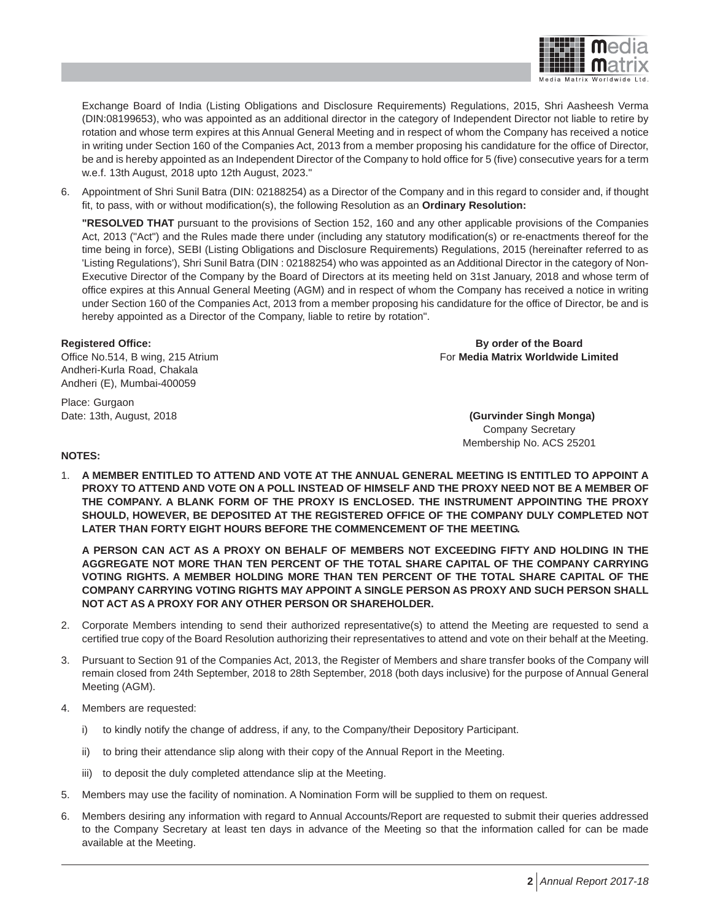

Exchange Board of India (Listing Obligations and Disclosure Requirements) Regulations, 2015, Shri Aasheesh Verma (DIN:08199653), who was appointed as an additional director in the category of Independent Director not liable to retire by rotation and whose term expires at this Annual General Meeting and in respect of whom the Company has received a notice in writing under Section 160 of the Companies Act, 2013 from a member proposing his candidature for the office of Director, be and is hereby appointed as an Independent Director of the Company to hold office for 5 (five) consecutive years for a term w.e.f. 13th August, 2018 upto 12th August, 2023."

6. Appointment of Shri Sunil Batra (DIN: 02188254) as a Director of the Company and in this regard to consider and, if thought fit, to pass, with or without modification(s), the following Resolution as an **Ordinary Resolution:**

**"RESOLVED THAT** pursuant to the provisions of Section 152, 160 and any other applicable provisions of the Companies Act, 2013 ("Act") and the Rules made there under (including any statutory modification(s) or re-enactments thereof for the time being in force), SEBI (Listing Obligations and Disclosure Requirements) Regulations, 2015 (hereinafter referred to as 'Listing Regulations'), Shri Sunil Batra (DIN : 02188254) who was appointed as an Additional Director in the category of Non-Executive Director of the Company by the Board of Directors at its meeting held on 31st January, 2018 and whose term of office expires at this Annual General Meeting (AGM) and in respect of whom the Company has received a notice in writing under Section 160 of the Companies Act, 2013 from a member proposing his candidature for the office of Director, be and is hereby appointed as a Director of the Company, liable to retire by rotation".

Andheri-Kurla Road, Chakala Andheri (E), Mumbai-400059

Place: Gurgaon

**Registered Office: By order of the Board** Office No.514, B wing, 215 Atrium **For Media Matrix Worldwide Limited For Media Matrix Worldwide Limited** 

Date: 13th, August, 2018 **(Gurvinder Singh Monga)** Company Secretary Membership No. ACS 25201

#### **NOTES:**

1. **A MEMBER ENTITLED TO ATTEND AND VOTE AT THE ANNUAL GENERAL MEETING IS ENTITLED TO APPOINT A PROXY TO ATTEND AND VOTE ON A POLL INSTEAD OF HIMSELF AND THE PROXY NEED NOT BE A MEMBER OF THE COMPANY. A BLANK FORM OF THE PROXY IS ENCLOSED. THE INSTRUMENT APPOINTING THE PROXY SHOULD, HOWEVER, BE DEPOSITED AT THE REGISTERED OFFICE OF THE COMPANY DULY COMPLETED NOT LATER THAN FORTY EIGHT HOURS BEFORE THE COMMENCEMENT OF THE MEETING.**

**A PERSON CAN ACT AS A PROXY ON BEHALF OF MEMBERS NOT EXCEEDING FIFTY AND HOLDING IN THE AGGREGATE NOT MORE THAN TEN PERCENT OF THE TOTAL SHARE CAPITAL OF THE COMPANY CARRYING VOTING RIGHTS. A MEMBER HOLDING MORE THAN TEN PERCENT OF THE TOTAL SHARE CAPITAL OF THE COMPANY CARRYING VOTING RIGHTS MAY APPOINT A SINGLE PERSON AS PROXY AND SUCH PERSON SHALL NOT ACT AS A PROXY FOR ANY OTHER PERSON OR SHAREHOLDER.**

- 2. Corporate Members intending to send their authorized representative(s) to attend the Meeting are requested to send a certified true copy of the Board Resolution authorizing their representatives to attend and vote on their behalf at the Meeting.
- 3. Pursuant to Section 91 of the Companies Act, 2013, the Register of Members and share transfer books of the Company will remain closed from 24th September, 2018 to 28th September, 2018 (both days inclusive) for the purpose of Annual General Meeting (AGM).
- 4. Members are requested:
	- i) to kindly notify the change of address, if any, to the Company/their Depository Participant.
	- ii) to bring their attendance slip along with their copy of the Annual Report in the Meeting.
	- iii) to deposit the duly completed attendance slip at the Meeting.
- 5. Members may use the facility of nomination. A Nomination Form will be supplied to them on request.
- 6. Members desiring any information with regard to Annual Accounts/Report are requested to submit their queries addressed to the Company Secretary at least ten days in advance of the Meeting so that the information called for can be made available at the Meeting.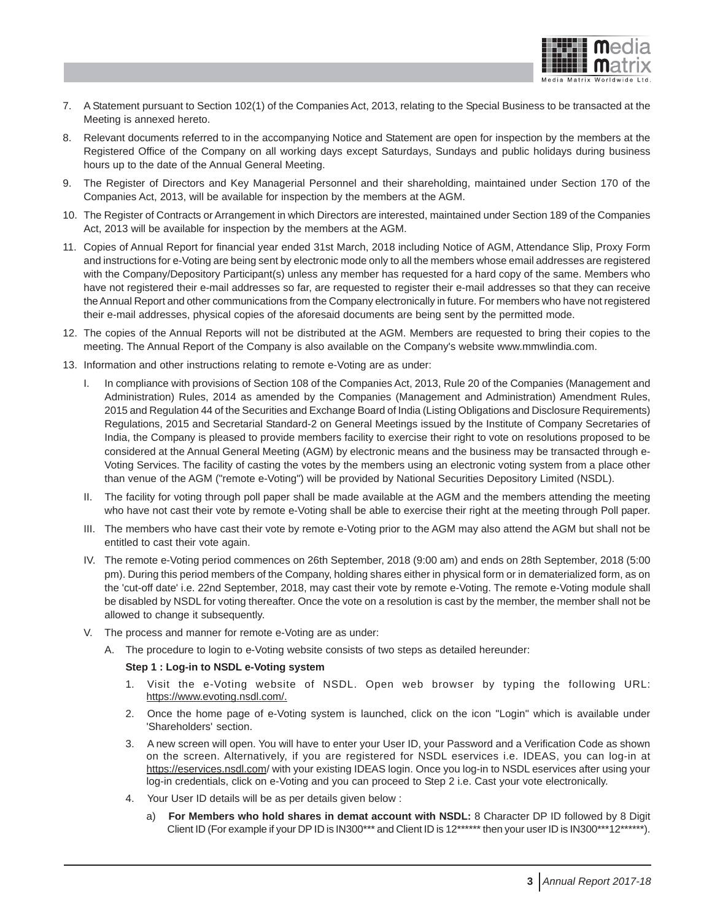

- 7. A Statement pursuant to Section 102(1) of the Companies Act, 2013, relating to the Special Business to be transacted at the Meeting is annexed hereto.
- 8. Relevant documents referred to in the accompanying Notice and Statement are open for inspection by the members at the Registered Office of the Company on all working days except Saturdays, Sundays and public holidays during business hours up to the date of the Annual General Meeting.
- 9. The Register of Directors and Key Managerial Personnel and their shareholding, maintained under Section 170 of the Companies Act, 2013, will be available for inspection by the members at the AGM.
- 10. The Register of Contracts or Arrangement in which Directors are interested, maintained under Section 189 of the Companies Act, 2013 will be available for inspection by the members at the AGM.
- 11. Copies of Annual Report for financial year ended 31st March, 2018 including Notice of AGM, Attendance Slip, Proxy Form and instructions for e-Voting are being sent by electronic mode only to all the members whose email addresses are registered with the Company/Depository Participant(s) unless any member has requested for a hard copy of the same. Members who have not registered their e-mail addresses so far, are requested to register their e-mail addresses so that they can receive the Annual Report and other communications from the Company electronically in future. For members who have not registered their e-mail addresses, physical copies of the aforesaid documents are being sent by the permitted mode.
- 12. The copies of the Annual Reports will not be distributed at the AGM. Members are requested to bring their copies to the meeting. The Annual Report of the Company is also available on the Company's website www.mmwlindia.com.
- 13. Information and other instructions relating to remote e-Voting are as under:
	- In compliance with provisions of Section 108 of the Companies Act, 2013, Rule 20 of the Companies (Management and Administration) Rules, 2014 as amended by the Companies (Management and Administration) Amendment Rules, 2015 and Regulation 44 of the Securities and Exchange Board of India (Listing Obligations and Disclosure Requirements) Regulations, 2015 and Secretarial Standard-2 on General Meetings issued by the Institute of Company Secretaries of India, the Company is pleased to provide members facility to exercise their right to vote on resolutions proposed to be considered at the Annual General Meeting (AGM) by electronic means and the business may be transacted through e-Voting Services. The facility of casting the votes by the members using an electronic voting system from a place other than venue of the AGM ("remote e-Voting") will be provided by National Securities Depository Limited (NSDL).
	- II. The facility for voting through poll paper shall be made available at the AGM and the members attending the meeting who have not cast their vote by remote e-Voting shall be able to exercise their right at the meeting through Poll paper.
	- III. The members who have cast their vote by remote e-Voting prior to the AGM may also attend the AGM but shall not be entitled to cast their vote again.
	- IV. The remote e-Voting period commences on 26th September, 2018 (9:00 am) and ends on 28th September, 2018 (5:00 pm). During this period members of the Company, holding shares either in physical form or in dematerialized form, as on the 'cut-off date' i.e. 22nd September, 2018, may cast their vote by remote e-Voting. The remote e-Voting module shall be disabled by NSDL for voting thereafter. Once the vote on a resolution is cast by the member, the member shall not be allowed to change it subsequently.
	- V. The process and manner for remote e-Voting are as under:
		- A. The procedure to login to e-Voting website consists of two steps as detailed hereunder:

#### **Step 1 : Log-in to NSDL e-Voting system**

- 1. Visit the e-Voting website of NSDL. Open web browser by typing the following URL: https://www.evoting.nsdl.com/.
- 2. Once the home page of e-Voting system is launched, click on the icon "Login" which is available under 'Shareholders' section.
- 3. A new screen will open. You will have to enter your User ID, your Password and a Verification Code as shown on the screen. Alternatively, if you are registered for NSDL eservices i.e. IDEAS, you can log-in at https://eservices.nsdl.com/ with your existing IDEAS login. Once you log-in to NSDL eservices after using your log-in credentials, click on e-Voting and you can proceed to Step 2 i.e. Cast your vote electronically.
- 4. Your User ID details will be as per details given below :
	- a) **For Members who hold shares in demat account with NSDL:** 8 Character DP ID followed by 8 Digit Client ID (For example if your DP ID is IN300\*\*\* and Client ID is 12\*\*\*\*\*\* then your user ID is IN300\*\*\*12\*\*\*\*\*\*).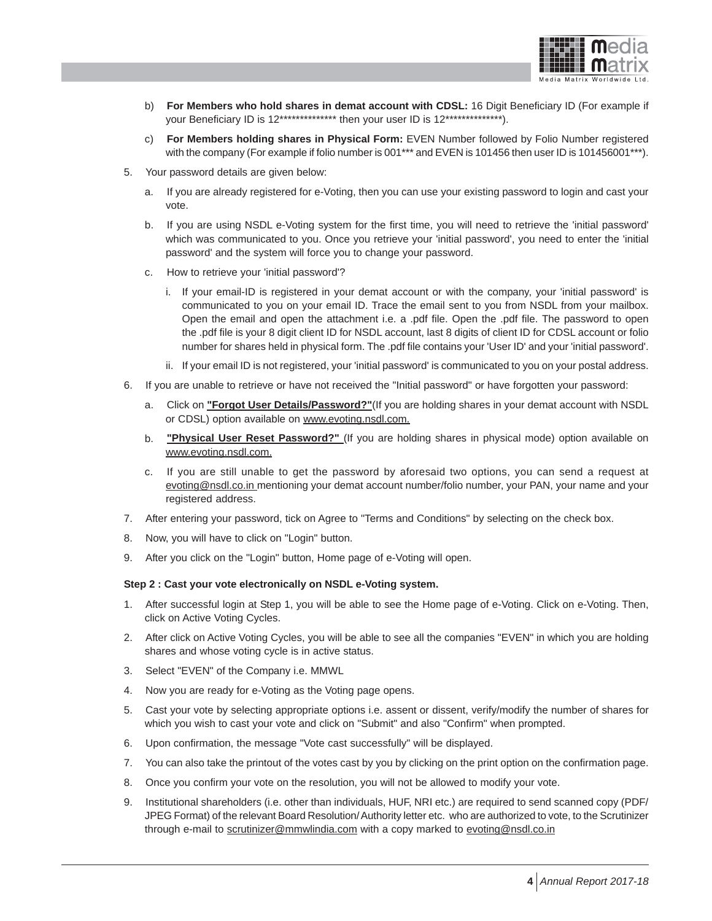

- b) **For Members who hold shares in demat account with CDSL:** 16 Digit Beneficiary ID (For example if your Beneficiary ID is 12\*\*\*\*\*\*\*\*\*\*\*\*\*\*\* then your user ID is 12\*\*\*\*\*\*\*\*\*\*\*\*\*\*\*.
- c) **For Members holding shares in Physical Form:** EVEN Number followed by Folio Number registered with the company (For example if folio number is 001\*\*\* and EVEN is 101456 then user ID is 101456001\*\*\*).
- 5. Your password details are given below:
	- a. If you are already registered for e-Voting, then you can use your existing password to login and cast your vote.
	- b. If you are using NSDL e-Voting system for the first time, you will need to retrieve the 'initial password' which was communicated to you. Once you retrieve your 'initial password', you need to enter the 'initial password' and the system will force you to change your password.
	- c. How to retrieve your 'initial password'?
		- i. If your email-ID is registered in your demat account or with the company, your 'initial password' is communicated to you on your email ID. Trace the email sent to you from NSDL from your mailbox. Open the email and open the attachment i.e. a .pdf file. Open the .pdf file. The password to open the .pdf file is your 8 digit client ID for NSDL account, last 8 digits of client ID for CDSL account or folio number for shares held in physical form. The .pdf file contains your 'User ID' and your 'initial password'.
		- ii. If your email ID is not registered, your 'initial password' is communicated to you on your postal address.
- 6. If you are unable to retrieve or have not received the "Initial password" or have forgotten your password:
	- a. Click on **"Forgot User Details/Password?"**(If you are holding shares in your demat account with NSDL or CDSL) option available on www.evoting.nsdl.com.
	- b. **"Physical User Reset Password?"** (If you are holding shares in physical mode) option available on www.evoting.nsdl.com.
	- c. If you are still unable to get the password by aforesaid two options, you can send a request at evoting@nsdl.co.in mentioning your demat account number/folio number, your PAN, your name and your registered address.
- 7. After entering your password, tick on Agree to "Terms and Conditions" by selecting on the check box.
- 8. Now, you will have to click on "Login" button.
- 9. After you click on the "Login" button, Home page of e-Voting will open.

#### **Step 2 : Cast your vote electronically on NSDL e-Voting system.**

- 1. After successful login at Step 1, you will be able to see the Home page of e-Voting. Click on e-Voting. Then, click on Active Voting Cycles.
- 2. After click on Active Voting Cycles, you will be able to see all the companies "EVEN" in which you are holding shares and whose voting cycle is in active status.
- 3. Select "EVEN" of the Company i.e. MMWL
- 4. Now you are ready for e-Voting as the Voting page opens.
- 5. Cast your vote by selecting appropriate options i.e. assent or dissent, verify/modify the number of shares for which you wish to cast your vote and click on "Submit" and also "Confirm" when prompted.
- 6. Upon confirmation, the message "Vote cast successfully" will be displayed.
- 7. You can also take the printout of the votes cast by you by clicking on the print option on the confirmation page.
- 8. Once you confirm your vote on the resolution, you will not be allowed to modify your vote.
- 9. Institutional shareholders (i.e. other than individuals, HUF, NRI etc.) are required to send scanned copy (PDF/ JPEG Format) of the relevant Board Resolution/ Authority letter etc. who are authorized to vote, to the Scrutinizer through e-mail to scrutinizer@mmwlindia.com with a copy marked to evoting@nsdl.co.in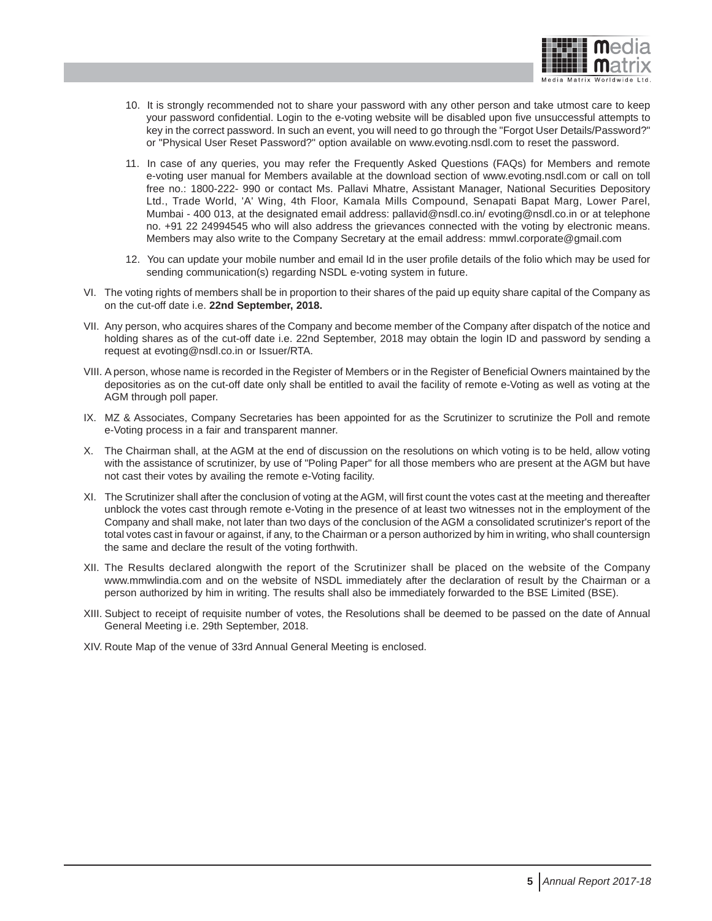

- 10. It is strongly recommended not to share your password with any other person and take utmost care to keep your password confidential. Login to the e-voting website will be disabled upon five unsuccessful attempts to key in the correct password. In such an event, you will need to go through the "Forgot User Details/Password?" or "Physical User Reset Password?" option available on www.evoting.nsdl.com to reset the password.
- 11. In case of any queries, you may refer the Frequently Asked Questions (FAQs) for Members and remote e-voting user manual for Members available at the download section of www.evoting.nsdl.com or call on toll free no.: 1800-222- 990 or contact Ms. Pallavi Mhatre, Assistant Manager, National Securities Depository Ltd., Trade World, 'A' Wing, 4th Floor, Kamala Mills Compound, Senapati Bapat Marg, Lower Parel, Mumbai - 400 013, at the designated email address: pallavid@nsdl.co.in/ evoting@nsdl.co.in or at telephone no. +91 22 24994545 who will also address the grievances connected with the voting by electronic means. Members may also write to the Company Secretary at the email address: mmwl.corporate@gmail.com
- 12. You can update your mobile number and email Id in the user profile details of the folio which may be used for sending communication(s) regarding NSDL e-voting system in future.
- VI. The voting rights of members shall be in proportion to their shares of the paid up equity share capital of the Company as on the cut-off date i.e. **22nd September, 2018.**
- VII. Any person, who acquires shares of the Company and become member of the Company after dispatch of the notice and holding shares as of the cut-off date i.e. 22nd September, 2018 may obtain the login ID and password by sending a request at evoting@nsdl.co.in or Issuer/RTA.
- VIII. A person, whose name is recorded in the Register of Members or in the Register of Beneficial Owners maintained by the depositories as on the cut-off date only shall be entitled to avail the facility of remote e-Voting as well as voting at the AGM through poll paper.
- IX. MZ & Associates, Company Secretaries has been appointed for as the Scrutinizer to scrutinize the Poll and remote e-Voting process in a fair and transparent manner.
- X. The Chairman shall, at the AGM at the end of discussion on the resolutions on which voting is to be held, allow voting with the assistance of scrutinizer, by use of "Poling Paper" for all those members who are present at the AGM but have not cast their votes by availing the remote e-Voting facility.
- XI. The Scrutinizer shall after the conclusion of voting at the AGM, will first count the votes cast at the meeting and thereafter unblock the votes cast through remote e-Voting in the presence of at least two witnesses not in the employment of the Company and shall make, not later than two days of the conclusion of the AGM a consolidated scrutinizer's report of the total votes cast in favour or against, if any, to the Chairman or a person authorized by him in writing, who shall countersign the same and declare the result of the voting forthwith.
- XII. The Results declared alongwith the report of the Scrutinizer shall be placed on the website of the Company www.mmwlindia.com and on the website of NSDL immediately after the declaration of result by the Chairman or a person authorized by him in writing. The results shall also be immediately forwarded to the BSE Limited (BSE).
- XIII. Subject to receipt of requisite number of votes, the Resolutions shall be deemed to be passed on the date of Annual General Meeting i.e. 29th September, 2018.
- XIV. Route Map of the venue of 33rd Annual General Meeting is enclosed.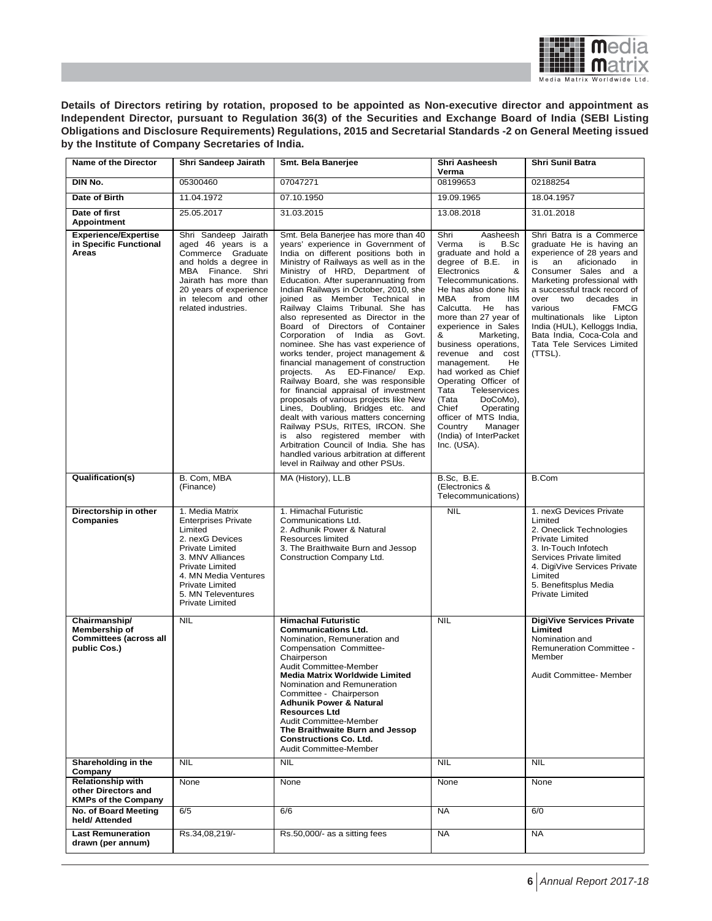

**Details of Directors retiring by rotation, proposed to be appointed as Non-executive director and appointment as Independent Director, pursuant to Regulation 36(3) of the Securities and Exchange Board of India (SEBI Listing Obligations and Disclosure Requirements) Regulations, 2015 and Secretarial Standards -2 on General Meeting issued by the Institute of Company Secretaries of India.**

| Name of the Director                                                            | Shri Sandeep Jairath                                                                                                                                                                                                                                                                                                                                                                                                                | Smt. Bela Banerjee                                                                                                                                                                                                                                                                                                                                                                                                                                                                                                                                                                                                                                                                                                                                                                                                                                                                                                                                                                                                           | Shri Aasheesh<br>Verma                                                                                                                                                                                                                                                                                                                                                                                                                                                                                                                          | <b>Shri Sunil Batra</b>                                                                                                                                                                                                                                                                                                                                                                              |
|---------------------------------------------------------------------------------|-------------------------------------------------------------------------------------------------------------------------------------------------------------------------------------------------------------------------------------------------------------------------------------------------------------------------------------------------------------------------------------------------------------------------------------|------------------------------------------------------------------------------------------------------------------------------------------------------------------------------------------------------------------------------------------------------------------------------------------------------------------------------------------------------------------------------------------------------------------------------------------------------------------------------------------------------------------------------------------------------------------------------------------------------------------------------------------------------------------------------------------------------------------------------------------------------------------------------------------------------------------------------------------------------------------------------------------------------------------------------------------------------------------------------------------------------------------------------|-------------------------------------------------------------------------------------------------------------------------------------------------------------------------------------------------------------------------------------------------------------------------------------------------------------------------------------------------------------------------------------------------------------------------------------------------------------------------------------------------------------------------------------------------|------------------------------------------------------------------------------------------------------------------------------------------------------------------------------------------------------------------------------------------------------------------------------------------------------------------------------------------------------------------------------------------------------|
| DIN No.                                                                         | 05300460                                                                                                                                                                                                                                                                                                                                                                                                                            | 07047271                                                                                                                                                                                                                                                                                                                                                                                                                                                                                                                                                                                                                                                                                                                                                                                                                                                                                                                                                                                                                     | 08199653                                                                                                                                                                                                                                                                                                                                                                                                                                                                                                                                        | 02188254                                                                                                                                                                                                                                                                                                                                                                                             |
| Date of Birth                                                                   | 11.04.1972<br>07.10.1950<br>19.09.1965                                                                                                                                                                                                                                                                                                                                                                                              |                                                                                                                                                                                                                                                                                                                                                                                                                                                                                                                                                                                                                                                                                                                                                                                                                                                                                                                                                                                                                              |                                                                                                                                                                                                                                                                                                                                                                                                                                                                                                                                                 | 18.04.1957                                                                                                                                                                                                                                                                                                                                                                                           |
| Date of first<br>Appointment                                                    | 25.05.2017                                                                                                                                                                                                                                                                                                                                                                                                                          | 31.03.2015                                                                                                                                                                                                                                                                                                                                                                                                                                                                                                                                                                                                                                                                                                                                                                                                                                                                                                                                                                                                                   | 13.08.2018                                                                                                                                                                                                                                                                                                                                                                                                                                                                                                                                      | 31.01.2018                                                                                                                                                                                                                                                                                                                                                                                           |
| <b>Experience/Expertise</b><br>in Specific Functional<br>Areas                  | Shri Sandeep Jairath<br>aged 46 years is a<br>Commerce Graduate<br>and holds a degree in<br>MBA Finance.<br>Shri<br>Jairath has more than<br>20 years of experience<br>in telecom and other<br>related industries.                                                                                                                                                                                                                  | Smt. Bela Banerjee has more than 40<br>years' experience in Government of<br>India on different positions both in<br>Ministry of Railways as well as in the<br>Ministry of HRD, Department of<br>Education. After superannuating from<br>Indian Railways in October, 2010, she<br>joined as Member Technical in<br>Railway Claims Tribunal. She has<br>also represented as Director in the<br>Board of Directors of Container<br>Corporation of India as Govt.<br>nominee. She has vast experience of<br>works tender, project management &<br>financial management of construction<br>projects. As ED-Finance/<br>Exp.<br>Railway Board, she was responsible<br>for financial appraisal of investment<br>proposals of various projects like New<br>Lines, Doubling, Bridges etc. and<br>dealt with various matters concerning<br>Railway PSUs, RITES, IRCON. She<br>is also registered member with<br>Arbitration Council of India. She has<br>handled various arbitration at different<br>level in Railway and other PSUs. | Shri<br>Aasheesh<br>Verma<br>is<br>B.Sc<br>graduate and hold a<br>degree of B.E.<br>in<br>Electronics<br>&<br>Telecommunications.<br>He has also done his<br>MBA<br>from<br>ШM<br>Calcutta. He has<br>more than 27 year of<br>experience in Sales<br>&<br>Marketing,<br>business operations,<br>revenue and cost<br>management.<br>He<br>had worked as Chief<br>Operating Officer of<br>Tata<br>Teleservices<br>(Tata<br>DoCoMo),<br>Chief<br>Operating<br>officer of MTS India,<br>Country<br>Manager<br>(India) of InterPacket<br>Inc. (USA). | Shri Batra is a Commerce<br>graduate He is having an<br>experience of 28 years and<br>an<br>aficionado<br>is<br>in<br>Consumer Sales and a<br>Marketing professional with<br>a successful track record of<br>over two<br>decades<br>in<br>various<br><b>FMCG</b><br>multinationals like Lipton<br>India (HUL), Kelloggs India,<br>Bata India, Coca-Cola and<br>Tata Tele Services Limited<br>(TTSL). |
| Qualification(s)                                                                | B. Com, MBA<br>(Finance)                                                                                                                                                                                                                                                                                                                                                                                                            | MA (History), LL.B                                                                                                                                                                                                                                                                                                                                                                                                                                                                                                                                                                                                                                                                                                                                                                                                                                                                                                                                                                                                           | <b>B.Sc, B.E.</b><br>(Electronics &<br>Telecommunications)                                                                                                                                                                                                                                                                                                                                                                                                                                                                                      | B.Com                                                                                                                                                                                                                                                                                                                                                                                                |
| Directorship in other<br>Companies                                              | <b>NIL</b><br>1. Media Matrix<br>1. Himachal Futuristic<br><b>Enterprises Private</b><br>Communications Ltd.<br>Limited<br>2. Adhunik Power & Natural<br>2. nexG Devices<br>Resources limited<br><b>Private Limited</b><br>3. The Braithwaite Burn and Jessop<br>3. MNV Alliances<br>Construction Company Ltd.<br>Private Limited<br>4. MN Media Ventures<br><b>Private Limited</b><br>5. MN Televentures<br><b>Private Limited</b> |                                                                                                                                                                                                                                                                                                                                                                                                                                                                                                                                                                                                                                                                                                                                                                                                                                                                                                                                                                                                                              |                                                                                                                                                                                                                                                                                                                                                                                                                                                                                                                                                 | 1. nexG Devices Private<br>Limited<br>2. Oneclick Technologies<br><b>Private Limited</b><br>3. In-Touch Infotech<br>Services Private limited<br>4. DigiVive Services Private<br>Limited<br>5. Benefitsplus Media<br><b>Private Limited</b>                                                                                                                                                           |
| Chairmanship/<br>Membership of<br><b>Committees (across all</b><br>public Cos.) | <b>NIL</b>                                                                                                                                                                                                                                                                                                                                                                                                                          | <b>Himachal Futuristic</b><br><b>Communications Ltd.</b><br>Nomination, Remuneration and<br>Compensation Committee-<br>Chairperson<br>Audit Committee-Member<br><b>Media Matrix Worldwide Limited</b><br>Nomination and Remuneration<br>Committee - Chairperson<br><b>Adhunik Power &amp; Natural</b><br><b>Resources Ltd</b><br>Audit Committee-Member<br>The Braithwaite Burn and Jessop<br><b>Constructions Co. Ltd.</b><br>Audit Committee-Member                                                                                                                                                                                                                                                                                                                                                                                                                                                                                                                                                                        | <b>NIL</b>                                                                                                                                                                                                                                                                                                                                                                                                                                                                                                                                      | <b>DigiVive Services Private</b><br>Limited<br>Nomination and<br>Remuneration Committee -<br>Member<br>Audit Committee- Member                                                                                                                                                                                                                                                                       |
| Shareholding in the<br>Company                                                  | <b>NIL</b>                                                                                                                                                                                                                                                                                                                                                                                                                          | <b>NIL</b>                                                                                                                                                                                                                                                                                                                                                                                                                                                                                                                                                                                                                                                                                                                                                                                                                                                                                                                                                                                                                   | <b>NIL</b>                                                                                                                                                                                                                                                                                                                                                                                                                                                                                                                                      | <b>NIL</b>                                                                                                                                                                                                                                                                                                                                                                                           |
| <b>Relationship with</b><br>other Directors and<br><b>KMPs of the Company</b>   | None                                                                                                                                                                                                                                                                                                                                                                                                                                | None                                                                                                                                                                                                                                                                                                                                                                                                                                                                                                                                                                                                                                                                                                                                                                                                                                                                                                                                                                                                                         | None                                                                                                                                                                                                                                                                                                                                                                                                                                                                                                                                            | None                                                                                                                                                                                                                                                                                                                                                                                                 |
| No. of Board Meeting<br>held/ Attended                                          | 6/5                                                                                                                                                                                                                                                                                                                                                                                                                                 | 6/6                                                                                                                                                                                                                                                                                                                                                                                                                                                                                                                                                                                                                                                                                                                                                                                                                                                                                                                                                                                                                          | <b>NA</b>                                                                                                                                                                                                                                                                                                                                                                                                                                                                                                                                       | 6/0                                                                                                                                                                                                                                                                                                                                                                                                  |
| <b>Last Remuneration</b><br>drawn (per annum)                                   | Rs.34,08,219/-                                                                                                                                                                                                                                                                                                                                                                                                                      | Rs.50,000/- as a sitting fees                                                                                                                                                                                                                                                                                                                                                                                                                                                                                                                                                                                                                                                                                                                                                                                                                                                                                                                                                                                                | <b>NA</b>                                                                                                                                                                                                                                                                                                                                                                                                                                                                                                                                       | NA.                                                                                                                                                                                                                                                                                                                                                                                                  |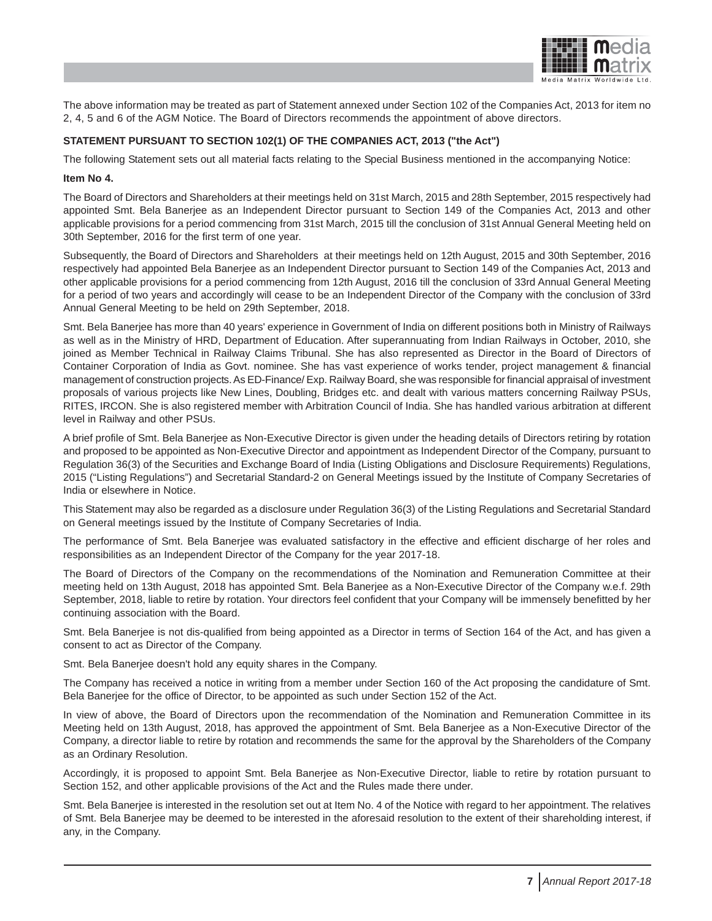

The above information may be treated as part of Statement annexed under Section 102 of the Companies Act, 2013 for item no 2, 4, 5 and 6 of the AGM Notice. The Board of Directors recommends the appointment of above directors.

### **STATEMENT PURSUANT TO SECTION 102(1) OF THE COMPANIES ACT, 2013 ("the Act")**

The following Statement sets out all material facts relating to the Special Business mentioned in the accompanying Notice:

#### **Item No 4.**

The Board of Directors and Shareholders at their meetings held on 31st March, 2015 and 28th September, 2015 respectively had appointed Smt. Bela Banerjee as an Independent Director pursuant to Section 149 of the Companies Act, 2013 and other applicable provisions for a period commencing from 31st March, 2015 till the conclusion of 31st Annual General Meeting held on 30th September, 2016 for the first term of one year.

Subsequently, the Board of Directors and Shareholders at their meetings held on 12th August, 2015 and 30th September, 2016 respectively had appointed Bela Banerjee as an Independent Director pursuant to Section 149 of the Companies Act, 2013 and other applicable provisions for a period commencing from 12th August, 2016 till the conclusion of 33rd Annual General Meeting for a period of two years and accordingly will cease to be an Independent Director of the Company with the conclusion of 33rd Annual General Meeting to be held on 29th September, 2018.

Smt. Bela Banerjee has more than 40 years' experience in Government of India on different positions both in Ministry of Railways as well as in the Ministry of HRD, Department of Education. After superannuating from Indian Railways in October, 2010, she joined as Member Technical in Railway Claims Tribunal. She has also represented as Director in the Board of Directors of Container Corporation of India as Govt. nominee. She has vast experience of works tender, project management & financial management of construction projects. As ED-Finance/ Exp. Railway Board, she was responsible for financial appraisal of investment proposals of various projects like New Lines, Doubling, Bridges etc. and dealt with various matters concerning Railway PSUs, RITES, IRCON. She is also registered member with Arbitration Council of India. She has handled various arbitration at different level in Railway and other PSUs.

A brief profile of Smt. Bela Banerjee as Non-Executive Director is given under the heading details of Directors retiring by rotation and proposed to be appointed as Non-Executive Director and appointment as Independent Director of the Company, pursuant to Regulation 36(3) of the Securities and Exchange Board of India (Listing Obligations and Disclosure Requirements) Regulations, 2015 ("Listing Regulations") and Secretarial Standard-2 on General Meetings issued by the Institute of Company Secretaries of India or elsewhere in Notice.

This Statement may also be regarded as a disclosure under Regulation 36(3) of the Listing Regulations and Secretarial Standard on General meetings issued by the Institute of Company Secretaries of India.

The performance of Smt. Bela Banerjee was evaluated satisfactory in the effective and efficient discharge of her roles and responsibilities as an Independent Director of the Company for the year 2017-18.

The Board of Directors of the Company on the recommendations of the Nomination and Remuneration Committee at their meeting held on 13th August, 2018 has appointed Smt. Bela Banerjee as a Non-Executive Director of the Company w.e.f. 29th September, 2018, liable to retire by rotation. Your directors feel confident that your Company will be immensely benefitted by her continuing association with the Board.

Smt. Bela Banerjee is not dis-qualified from being appointed as a Director in terms of Section 164 of the Act, and has given a consent to act as Director of the Company.

Smt. Bela Banerjee doesn't hold any equity shares in the Company.

The Company has received a notice in writing from a member under Section 160 of the Act proposing the candidature of Smt. Bela Banerjee for the office of Director, to be appointed as such under Section 152 of the Act.

In view of above, the Board of Directors upon the recommendation of the Nomination and Remuneration Committee in its Meeting held on 13th August, 2018, has approved the appointment of Smt. Bela Banerjee as a Non-Executive Director of the Company, a director liable to retire by rotation and recommends the same for the approval by the Shareholders of the Company as an Ordinary Resolution.

Accordingly, it is proposed to appoint Smt. Bela Banerjee as Non-Executive Director, liable to retire by rotation pursuant to Section 152, and other applicable provisions of the Act and the Rules made there under.

Smt. Bela Banerjee is interested in the resolution set out at Item No. 4 of the Notice with regard to her appointment. The relatives of Smt. Bela Banerjee may be deemed to be interested in the aforesaid resolution to the extent of their shareholding interest, if any, in the Company.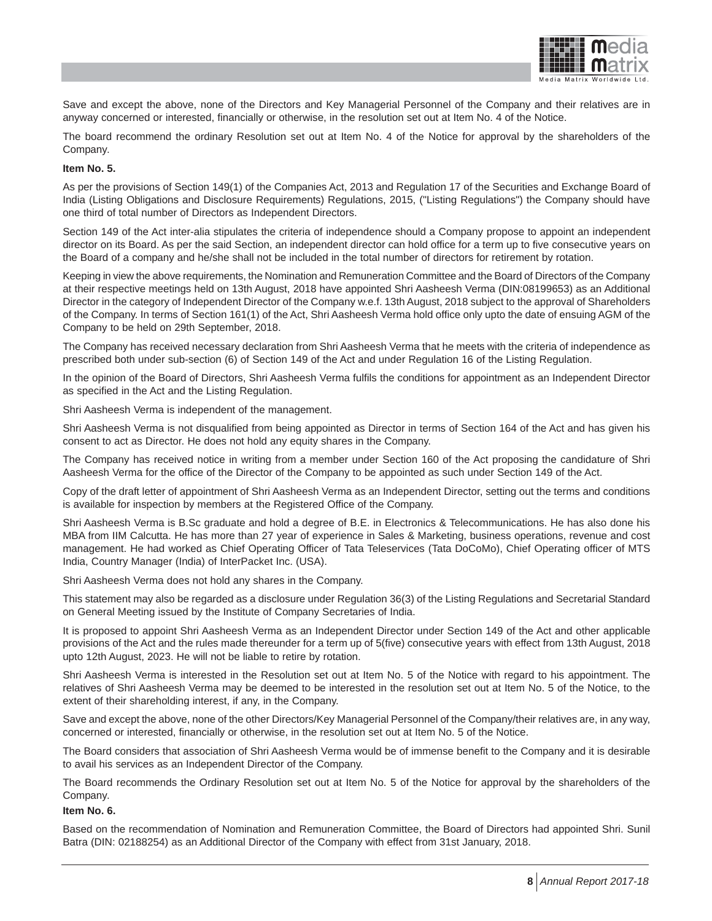

Save and except the above, none of the Directors and Key Managerial Personnel of the Company and their relatives are in anyway concerned or interested, financially or otherwise, in the resolution set out at Item No. 4 of the Notice.

The board recommend the ordinary Resolution set out at Item No. 4 of the Notice for approval by the shareholders of the Company.

#### **Item No. 5.**

As per the provisions of Section 149(1) of the Companies Act, 2013 and Regulation 17 of the Securities and Exchange Board of India (Listing Obligations and Disclosure Requirements) Regulations, 2015, ("Listing Regulations") the Company should have one third of total number of Directors as Independent Directors.

Section 149 of the Act inter-alia stipulates the criteria of independence should a Company propose to appoint an independent director on its Board. As per the said Section, an independent director can hold office for a term up to five consecutive years on the Board of a company and he/she shall not be included in the total number of directors for retirement by rotation.

Keeping in view the above requirements, the Nomination and Remuneration Committee and the Board of Directors of the Company at their respective meetings held on 13th August, 2018 have appointed Shri Aasheesh Verma (DIN:08199653) as an Additional Director in the category of Independent Director of the Company w.e.f. 13th August, 2018 subject to the approval of Shareholders of the Company. In terms of Section 161(1) of the Act, Shri Aasheesh Verma hold office only upto the date of ensuing AGM of the Company to be held on 29th September, 2018.

The Company has received necessary declaration from Shri Aasheesh Verma that he meets with the criteria of independence as prescribed both under sub-section (6) of Section 149 of the Act and under Regulation 16 of the Listing Regulation.

In the opinion of the Board of Directors, Shri Aasheesh Verma fulfils the conditions for appointment as an Independent Director as specified in the Act and the Listing Regulation.

Shri Aasheesh Verma is independent of the management.

Shri Aasheesh Verma is not disqualified from being appointed as Director in terms of Section 164 of the Act and has given his consent to act as Director. He does not hold any equity shares in the Company.

The Company has received notice in writing from a member under Section 160 of the Act proposing the candidature of Shri Aasheesh Verma for the office of the Director of the Company to be appointed as such under Section 149 of the Act.

Copy of the draft letter of appointment of Shri Aasheesh Verma as an Independent Director, setting out the terms and conditions is available for inspection by members at the Registered Office of the Company.

Shri Aasheesh Verma is B.Sc graduate and hold a degree of B.E. in Electronics & Telecommunications. He has also done his MBA from IIM Calcutta. He has more than 27 year of experience in Sales & Marketing, business operations, revenue and cost management. He had worked as Chief Operating Officer of Tata Teleservices (Tata DoCoMo), Chief Operating officer of MTS India, Country Manager (India) of InterPacket Inc. (USA).

Shri Aasheesh Verma does not hold any shares in the Company.

This statement may also be regarded as a disclosure under Regulation 36(3) of the Listing Regulations and Secretarial Standard on General Meeting issued by the Institute of Company Secretaries of India.

It is proposed to appoint Shri Aasheesh Verma as an Independent Director under Section 149 of the Act and other applicable provisions of the Act and the rules made thereunder for a term up of 5(five) consecutive years with effect from 13th August, 2018 upto 12th August, 2023. He will not be liable to retire by rotation.

Shri Aasheesh Verma is interested in the Resolution set out at Item No. 5 of the Notice with regard to his appointment. The relatives of Shri Aasheesh Verma may be deemed to be interested in the resolution set out at Item No. 5 of the Notice, to the extent of their shareholding interest, if any, in the Company.

Save and except the above, none of the other Directors/Key Managerial Personnel of the Company/their relatives are, in any way, concerned or interested, financially or otherwise, in the resolution set out at Item No. 5 of the Notice.

The Board considers that association of Shri Aasheesh Verma would be of immense benefit to the Company and it is desirable to avail his services as an Independent Director of the Company.

The Board recommends the Ordinary Resolution set out at Item No. 5 of the Notice for approval by the shareholders of the Company.

**Item No. 6.**

Based on the recommendation of Nomination and Remuneration Committee, the Board of Directors had appointed Shri. Sunil Batra (DIN: 02188254) as an Additional Director of the Company with effect from 31st January, 2018.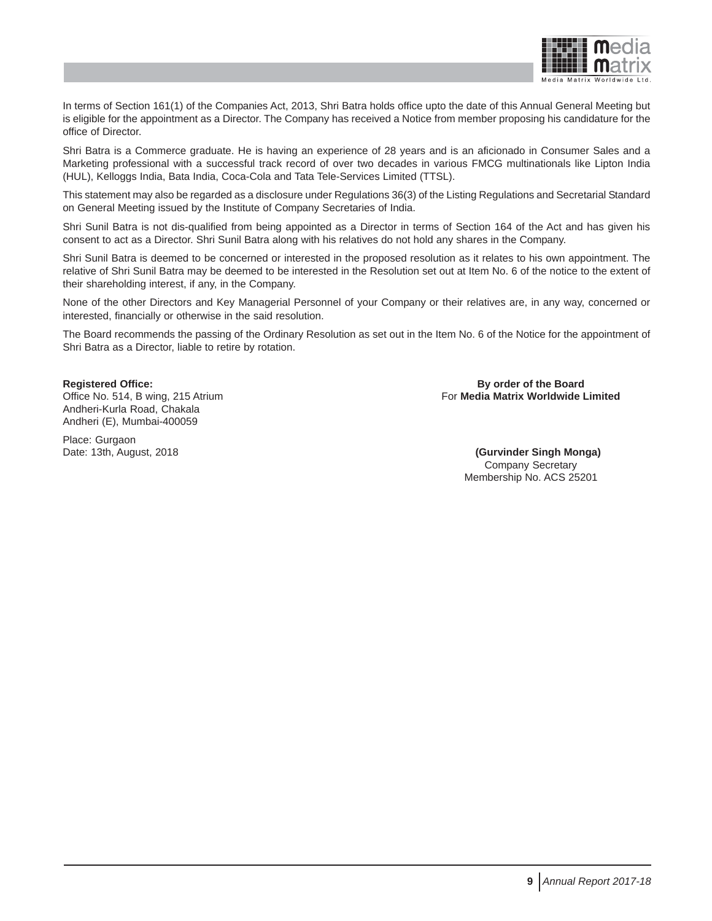

In terms of Section 161(1) of the Companies Act, 2013, Shri Batra holds office upto the date of this Annual General Meeting but is eligible for the appointment as a Director. The Company has received a Notice from member proposing his candidature for the office of Director.

Shri Batra is a Commerce graduate. He is having an experience of 28 years and is an aficionado in Consumer Sales and a Marketing professional with a successful track record of over two decades in various FMCG multinationals like Lipton India (HUL), Kelloggs India, Bata India, Coca-Cola and Tata Tele-Services Limited (TTSL).

This statement may also be regarded as a disclosure under Regulations 36(3) of the Listing Regulations and Secretarial Standard on General Meeting issued by the Institute of Company Secretaries of India.

Shri Sunil Batra is not dis-qualified from being appointed as a Director in terms of Section 164 of the Act and has given his consent to act as a Director. Shri Sunil Batra along with his relatives do not hold any shares in the Company.

Shri Sunil Batra is deemed to be concerned or interested in the proposed resolution as it relates to his own appointment. The relative of Shri Sunil Batra may be deemed to be interested in the Resolution set out at Item No. 6 of the notice to the extent of their shareholding interest, if any, in the Company.

None of the other Directors and Key Managerial Personnel of your Company or their relatives are, in any way, concerned or interested, financially or otherwise in the said resolution.

The Board recommends the passing of the Ordinary Resolution as set out in the Item No. 6 of the Notice for the appointment of Shri Batra as a Director, liable to retire by rotation.

Andheri-Kurla Road, Chakala Andheri (E), Mumbai-400059

Place: Gurgaon

**Registered Office: By order of the Board** Office No. 514, B wing, 215 Atrium **For Media Matrix Worldwide Limited** For **Media Matrix Worldwide Limited** 

Date: 13th, August, 2018 **(Gurvinder Singh Monga)** Company Secretary Membership No. ACS 25201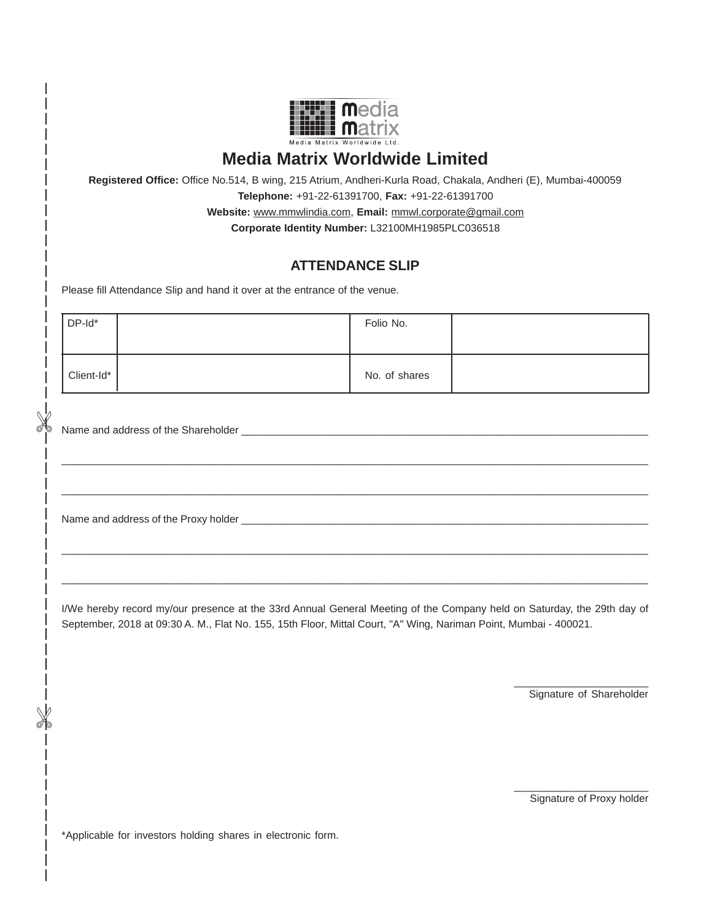

# **Media Matrix Worldwide Limited**

**Registered Office:** Office No.514, B wing, 215 Atrium, Andheri-Kurla Road, Chakala, Andheri (E), Mumbai-400059 **Telephone:** +91-22-61391700, **Fax:** +91-22-61391700 **Website:** www.mmwlindia.com, **Email:** mmwl.corporate@gmail.com

**Corporate Identity Number:** L32100MH1985PLC036518

## **ATTENDANCE SLIP**

Please fill Attendance Slip and hand it over at the entrance of the venue.

| DP-Id*     | Folio No.     |  |
|------------|---------------|--|
| Client-Id* | No. of shares |  |

\_\_\_\_\_\_\_\_\_\_\_\_\_\_\_\_\_\_\_\_\_\_\_\_\_\_\_\_\_\_\_\_\_\_\_\_\_\_\_\_\_\_\_\_\_\_\_\_\_\_\_\_\_\_\_\_\_\_\_\_\_\_\_\_\_\_\_\_\_\_\_\_\_\_\_\_\_\_\_\_\_\_\_\_\_\_\_\_\_\_\_\_\_\_\_\_\_\_\_\_

\_\_\_\_\_\_\_\_\_\_\_\_\_\_\_\_\_\_\_\_\_\_\_\_\_\_\_\_\_\_\_\_\_\_\_\_\_\_\_\_\_\_\_\_\_\_\_\_\_\_\_\_\_\_\_\_\_\_\_\_\_\_\_\_\_\_\_\_\_\_\_\_\_\_\_\_\_\_\_\_\_\_\_\_\_\_\_\_\_\_\_\_\_\_\_\_\_\_\_\_

\_\_\_\_\_\_\_\_\_\_\_\_\_\_\_\_\_\_\_\_\_\_\_\_\_\_\_\_\_\_\_\_\_\_\_\_\_\_\_\_\_\_\_\_\_\_\_\_\_\_\_\_\_\_\_\_\_\_\_\_\_\_\_\_\_\_\_\_\_\_\_\_\_\_\_\_\_\_\_\_\_\_\_\_\_\_\_\_\_\_\_\_\_\_\_\_\_\_\_\_

\_\_\_\_\_\_\_\_\_\_\_\_\_\_\_\_\_\_\_\_\_\_\_\_\_\_\_\_\_\_\_\_\_\_\_\_\_\_\_\_\_\_\_\_\_\_\_\_\_\_\_\_\_\_\_\_\_\_\_\_\_\_\_\_\_\_\_\_\_\_\_\_\_\_\_\_\_\_\_\_\_\_\_\_\_\_\_\_\_\_\_\_\_\_\_\_\_\_\_\_

Name and address of the Shareholder

Name and address of the Proxy holder \_\_\_\_\_\_\_\_\_\_\_\_\_\_\_\_\_\_\_\_\_\_\_\_\_\_\_\_\_\_\_\_\_\_\_\_\_\_\_\_\_\_\_\_\_\_\_\_\_\_\_\_\_\_\_\_\_\_\_\_\_\_\_\_\_\_\_\_\_\_

I/We hereby record my/our presence at the 33rd Annual General Meeting of the Company held on Saturday, the 29th day of September, 2018 at 09:30 A. M., Flat No. 155, 15th Floor, Mittal Court, "A" Wing, Nariman Point, Mumbai - 400021.

> \_\_\_\_\_\_\_\_\_\_\_\_\_\_\_\_\_\_\_\_\_\_ Signature of Shareholder

> \_\_\_\_\_\_\_\_\_\_\_\_\_\_\_\_\_\_\_\_\_\_ Signature of Proxy holder

\*Applicable for investors holding shares in electronic form.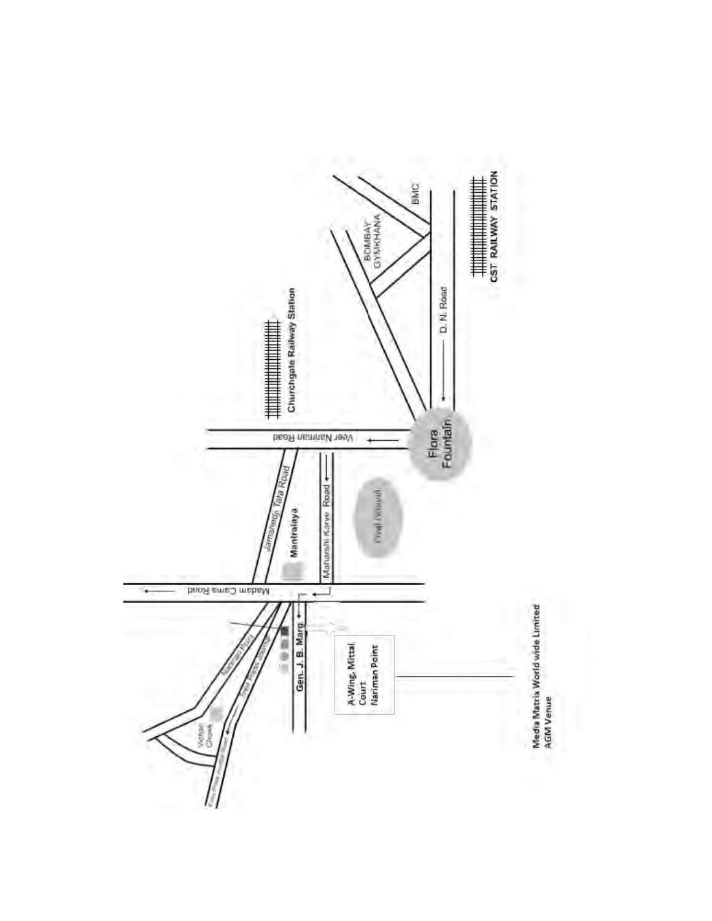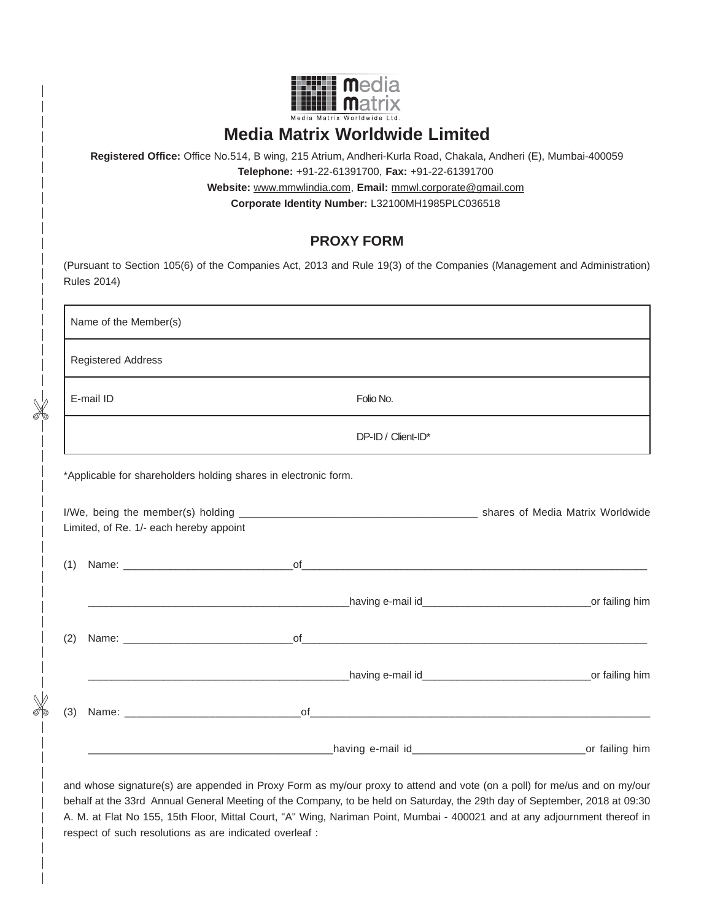

# **Media Matrix Worldwide Limited**

**Registered Office:** Office No.514, B wing, 215 Atrium, Andheri-Kurla Road, Chakala, Andheri (E), Mumbai-400059 **Telephone:** +91-22-61391700, **Fax:** +91-22-61391700 **Website:** www.mmwlindia.com, **Email:** mmwl.corporate@gmail.com

**Corporate Identity Number:** L32100MH1985PLC036518

## **PROXY FORM**

| Name of the Member(s)                                        |                                                                 |  |
|--------------------------------------------------------------|-----------------------------------------------------------------|--|
| <b>Registered Address</b>                                    |                                                                 |  |
| E-mail ID                                                    | Folio No.                                                       |  |
|                                                              | DP-ID / Client-ID*                                              |  |
|                                                              | *Applicable for shareholders holding shares in electronic form. |  |
|                                                              |                                                                 |  |
|                                                              |                                                                 |  |
|                                                              |                                                                 |  |
|                                                              |                                                                 |  |
| Limited, of Re. 1/- each hereby appoint<br>(1)<br>(2)<br>(3) |                                                                 |  |

behalf at the 33rd Annual General Meeting of the Company, to be held on Saturday, the 29th day of September, 2018 at 09:30 A. M. at Flat No 155, 15th Floor, Mittal Court, "A" Wing, Nariman Point, Mumbai - 400021 and at any adjournment thereof in respect of such resolutions as are indicated overleaf :